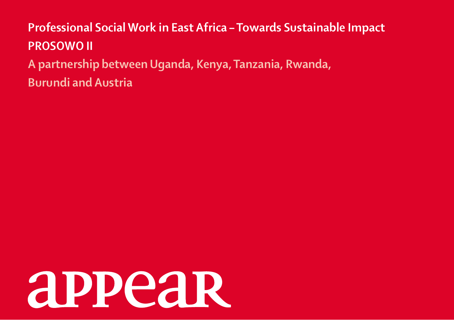# **Professional Social Work in East Africa – Towards Sustainable Impact PROSOWO II A partnership between Uganda, Kenya, Tanzania, Rwanda, Burundi and Austria**